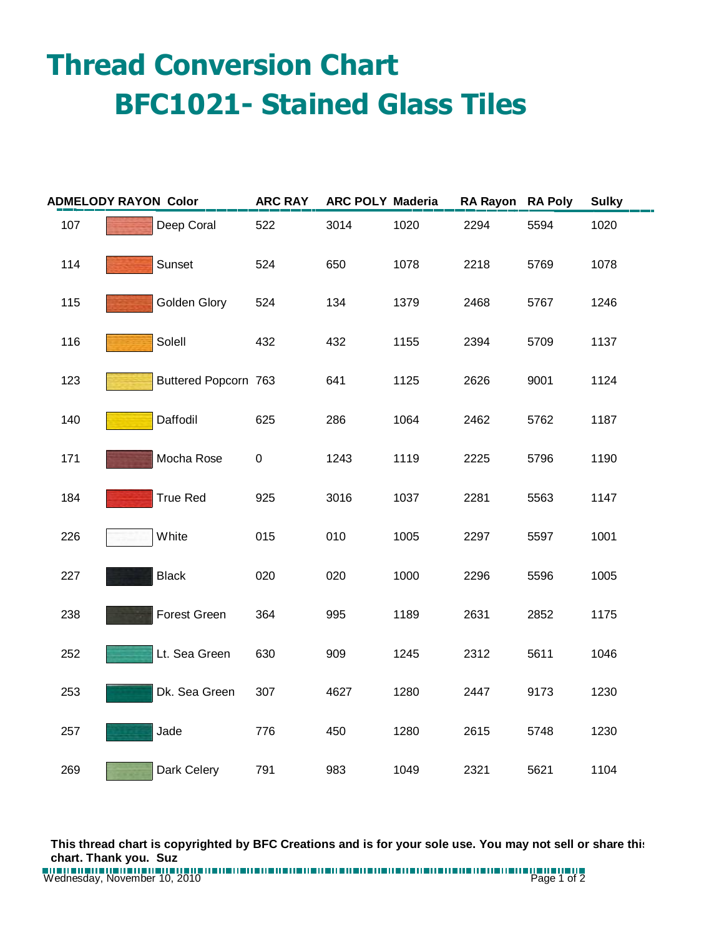## **Thread Conversion Chart BFC1021- Stained Glass Tiles**

| <b>ADMELODY RAYON Color</b> |  |                      | <b>ARC RAY</b> | ARC POLY Maderia |      | RA Rayon RA Poly |      | <b>Sulky</b> |
|-----------------------------|--|----------------------|----------------|------------------|------|------------------|------|--------------|
| 107                         |  | Deep Coral           | 522            | 3014             | 1020 | 2294             | 5594 | 1020         |
| 114                         |  | Sunset               | 524            | 650              | 1078 | 2218             | 5769 | 1078         |
| 115                         |  | Golden Glory         | 524            | 134              | 1379 | 2468             | 5767 | 1246         |
| 116                         |  | Solell               | 432            | 432              | 1155 | 2394             | 5709 | 1137         |
| 123                         |  | Buttered Popcorn 763 |                | 641              | 1125 | 2626             | 9001 | 1124         |
| 140                         |  | Daffodil             | 625            | 286              | 1064 | 2462             | 5762 | 1187         |
| 171                         |  | Mocha Rose           | $\pmb{0}$      | 1243             | 1119 | 2225             | 5796 | 1190         |
| 184                         |  | <b>True Red</b>      | 925            | 3016             | 1037 | 2281             | 5563 | 1147         |
| 226                         |  | White                | 015            | 010              | 1005 | 2297             | 5597 | 1001         |
| 227                         |  | <b>Black</b>         | 020            | 020              | 1000 | 2296             | 5596 | 1005         |
| 238                         |  | <b>Forest Green</b>  | 364            | 995              | 1189 | 2631             | 2852 | 1175         |
| 252                         |  | Lt. Sea Green        | 630            | 909              | 1245 | 2312             | 5611 | 1046         |
| 253                         |  | Dk. Sea Green        | 307            | 4627             | 1280 | 2447             | 9173 | 1230         |
| 257                         |  | Jade                 | 776            | 450              | 1280 | 2615             | 5748 | 1230         |
| 269                         |  | Dark Celery          | 791            | 983              | 1049 | 2321             | 5621 | 1104         |

**This thread chart is copyrighted by BFC Creations and is for your sole use. You may not sell or share this chart. Thank you. Suz**